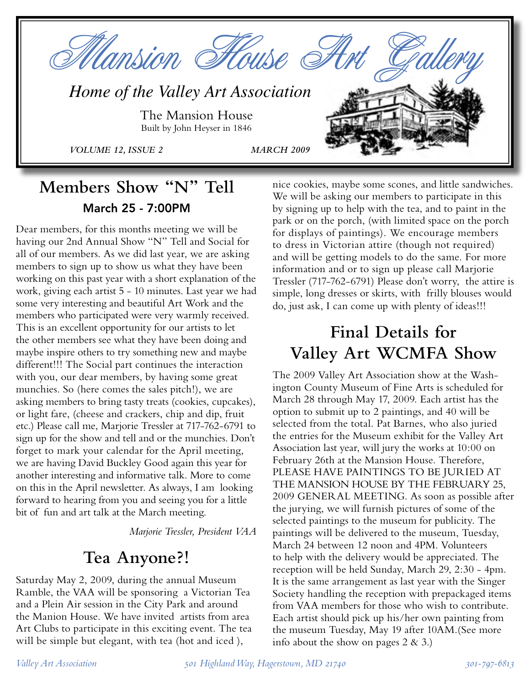

## **Members Show "N" Tell** March 25 - 7:00PM

Dear members, for this months meeting we will be having our 2nd Annual Show "N" Tell and Social for all of our members. As we did last year, we are asking members to sign up to show us what they have been working on this past year with a short explanation of the work, giving each artist 5 - 10 minutes. Last year we had some very interesting and beautiful Art Work and the members who participated were very warmly received. This is an excellent opportunity for our artists to let the other members see what they have been doing and maybe inspire others to try something new and maybe different!!! The Social part continues the interaction with you, our dear members, by having some great munchies. So (here comes the sales pitch!), we are asking members to bring tasty treats (cookies, cupcakes), or light fare, (cheese and crackers, chip and dip, fruit etc.) Please call me, Marjorie Tressler at 717-762-6791 to sign up for the show and tell and or the munchies. Don't forget to mark your calendar for the April meeting, we are having David Buckley Good again this year for another interesting and informative talk. More to come on this in the April newsletter. As always, I am looking forward to hearing from you and seeing you for a little bit of fun and art talk at the March meeting.

*Marjorie Tressler, President VAA*

## **Tea Anyone?!**

Saturday May 2, 2009, during the annual Museum Ramble, the VAA will be sponsoring a Victorian Tea and a Plein Air session in the City Park and around the Manion House. We have invited artists from area Art Clubs to participate in this exciting event. The tea will be simple but elegant, with tea (hot and iced ),

nice cookies, maybe some scones, and little sandwiches. We will be asking our members to participate in this by signing up to help with the tea, and to paint in the park or on the porch, (with limited space on the porch for displays of paintings). We encourage members to dress in Victorian attire (though not required) and will be getting models to do the same. For more information and or to sign up please call Marjorie Tressler (717-762-6791) Please don't worry, the attire is simple, long dresses or skirts, with frilly blouses would do, just ask, I can come up with plenty of ideas!!!

# **Final Details for Valley Art WCMFA Show**

The 2009 Valley Art Association show at the Washington County Museum of Fine Arts is scheduled for March 28 through May 17, 2009. Each artist has the option to submit up to 2 paintings, and 40 will be selected from the total. Pat Barnes, who also juried the entries for the Museum exhibit for the Valley Art Association last year, will jury the works at 10:00 on February 26th at the Mansion House. Therefore, PLEASE HAVE PAINTINGS TO BE JURIED AT THE MANSION HOUSE BY THE FEBRUARY 25, 2009 GENERAL MEETING. As soon as possible after the jurying, we will furnish pictures of some of the selected paintings to the museum for publicity. The paintings will be delivered to the museum, Tuesday, March 24 between 12 noon and 4PM. Volunteers to help with the delivery would be appreciated. The reception will be held Sunday, March 29, 2:30 - 4pm. It is the same arrangement as last year with the Singer Society handling the reception with prepackaged items from VAA members for those who wish to contribute. Each artist should pick up his/her own painting from the museum Tuesday, May 19 after 10AM.(See more info about the show on pages  $2 \& 3$ .)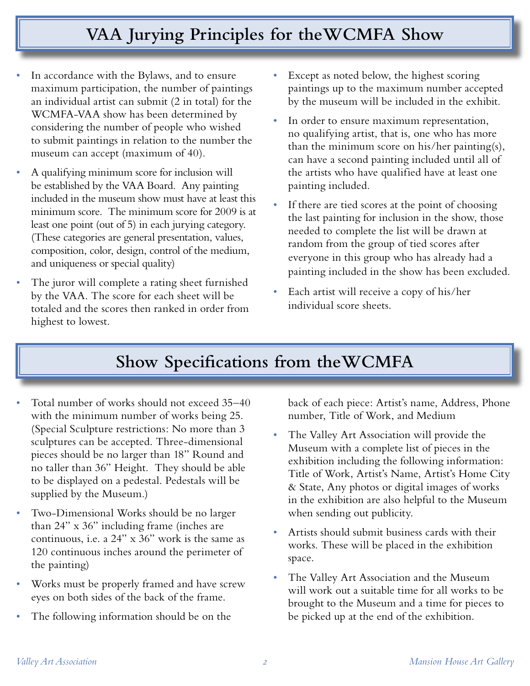# **VAA Jurying Principles for theWCMFA Show**

- In accordance with the Bylaws, and to ensure maximum participation, the number of paintings an individual artist can submit (2 in total) for the WCMFA-VAA show has been determined by considering the number of people who wished to submit paintings in relation to the number the museum can accept (maximum of 40).
- *•* A qualifying minimum score for inclusion will be established by the VAA Board. Any painting included in the museum show must have at least this minimum score. The minimum score for 2009 is at least one point (out of 5) in each jurying category. (These categories are general presentation, values, composition, color, design, control of the medium, and uniqueness or special quality)
- The juror will complete a rating sheet furnished by the VAA. The score for each sheet will be totaled and the scores then ranked in order from highest to lowest.
- Except as noted below, the highest scoring paintings up to the maximum number accepted by the museum will be included in the exhibit.
- In order to ensure maximum representation, no qualifying artist, that is, one who has more than the minimum score on his/her painting(s), can have a second painting included until all of the artists who have qualified have at least one painting included.
- If there are tied scores at the point of choosing the last painting for inclusion in the show, those needed to complete the list will be drawn at random from the group of tied scores after everyone in this group who has already had a painting included in the show has been excluded.
- *•* Each artist will receive a copy of his/her individual score sheets.

# **Show Specifications from theWCMFA**

- *•* Total number of works should not exceed 35–40 with the minimum number of works being 25. (Special Sculpture restrictions: No more than 3 sculptures can be accepted. Three-dimensional pieces should be no larger than 18" Round and no taller than 36" Height. They should be able to be displayed on a pedestal. Pedestals will be supplied by the Museum.)
- *•* Two-Dimensional Works should be no larger than 24" x 36" including frame (inches are continuous, i.e. a 24" x 36" work is the same as 120 continuous inches around the perimeter of the painting)
- *•* Works must be properly framed and have screw eyes on both sides of the back of the frame.
- *•* The following information should be on the

back of each piece: Artist's name, Address, Phone number, Title of Work, and Medium

- *•* The Valley Art Association will provide the Museum with a complete list of pieces in the exhibition including the following information: Title of Work, Artist's Name, Artist's Home City & State, Any photos or digital images of works in the exhibition are also helpful to the Museum when sending out publicity.
- *•* Artists should submit business cards with their works. These will be placed in the exhibition space.
- *•* The Valley Art Association and the Museum will work out a suitable time for all works to be brought to the Museum and a time for pieces to be picked up at the end of the exhibition.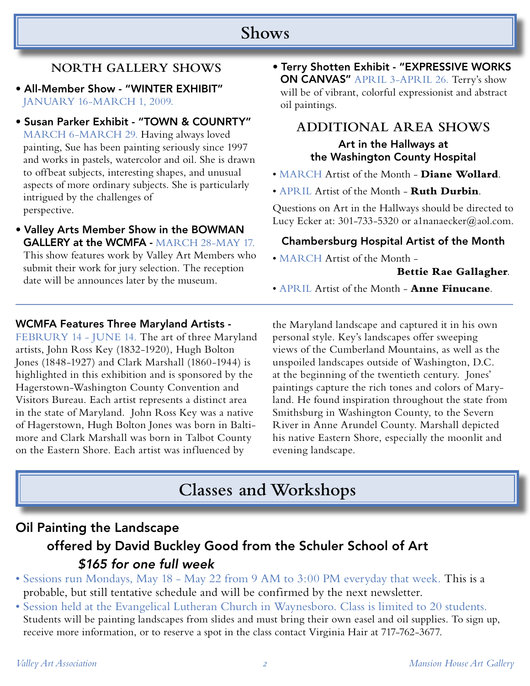## **Shows**

### **NORTH GALLERY SHOWS**

- All-Member Show "WINTER EXHIBIT" JANUARY 16-MARCH 1, 2009.
- Susan Parker Exhibit "TOWN & COUNRTY" MARCH 6-MARCH 29. Having always loved painting, Sue has been painting seriously since 1997 and works in pastels, watercolor and oil. She is drawn to offbeat subjects, interesting shapes, and unusual aspects of more ordinary subjects. She is particularly intrigued by the challenges of perspective.
- Valley Arts Member Show in the BOWMAN GALLERY at the WCMFA - MARCH 28-MAY 17. This show features work by Valley Art Members who submit their work for jury selection. The reception date will be announces later by the museum.

#### WCMFA Features Three Maryland Artists -

FEBRURY 14 - JUNE 14. The art of three Maryland artists, John Ross Key (1832-1920), Hugh Bolton Jones (1848-1927) and Clark Marshall (1860-1944) is highlighted in this exhibition and is sponsored by the Hagerstown-Washington County Convention and Visitors Bureau. Each artist represents a distinct area in the state of Maryland. John Ross Key was a native of Hagerstown, Hugh Bolton Jones was born in Baltimore and Clark Marshall was born in Talbot County on the Eastern Shore. Each artist was influenced by

• Terry Shotten Exhibit - "EXPRESSIVE WORKS ON CANVAS" APRIL 3-APRIL 26. Terry's show will be of vibrant, colorful expressionist and abstract oil paintings.

### **ADDITIONAL AREA SHOWS**

#### Art in the Hallways at the Washington County Hospital

- MARCH Artist of the Month **Diane Wollard**.
- APRIL Artist of the Month **Ruth Durbin**.

Questions on Art in the Hallways should be directed to Lucy Ecker at: 301-733-5320 or a1nanaecker@aol.com.

#### Chambersburg Hospital Artist of the Month

• MARCH Artist of the Month -

#### **Bettie Rae Gallagher**.

• APRIL Artist of the Month - **Anne Finucane**.

the Maryland landscape and captured it in his own personal style. Key's landscapes offer sweeping views of the Cumberland Mountains, as well as the unspoiled landscapes outside of Washington, D.C. at the beginning of the twentieth century. Jones' paintings capture the rich tones and colors of Maryland. He found inspiration throughout the state from Smithsburg in Washington County, to the Severn River in Anne Arundel County. Marshall depicted his native Eastern Shore, especially the moonlit and evening landscape.

## **Classes and Workshops**

## Oil Painting the Landscape offered by David Buckley Good from the Schuler School of Art \$165 for one full week

- Sessions run Mondays, May 18 May 22 from 9 AM to 3:00 PM everyday that week. This is a probable, but still tentative schedule and will be confirmed by the next newsletter.
- Session held at the Evangelical Lutheran Church in Waynesboro. Class is limited to 20 students. Students will be painting landscapes from slides and must bring their own easel and oil supplies. To sign up, receive more information, or to reserve a spot in the class contact Virginia Hair at 717-762-3677.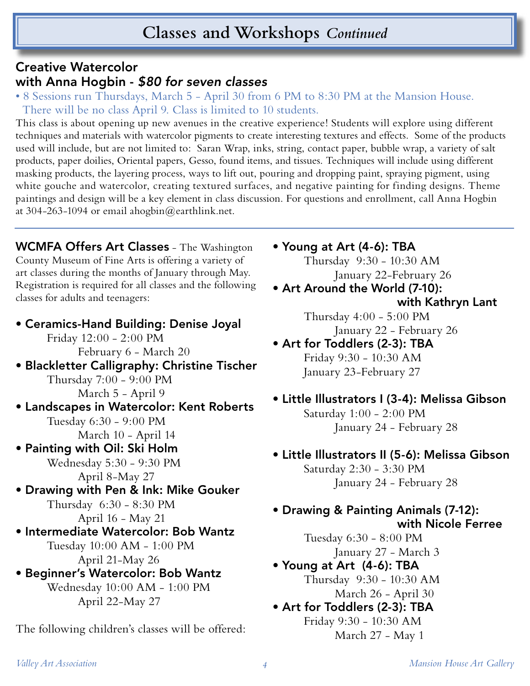## **Classes and Workshops** *Continued*

### Creative Watercolor with Anna Hogbin - \$80 for seven classes

• 8 Sessions run Thursdays, March 5 - April 30 from 6 PM to 8:30 PM at the Mansion House. There will be no class April 9. Class is limited to 10 students.

This class is about opening up new avenues in the creative experience! Students will explore using different techniques and materials with watercolor pigments to create interesting textures and effects. Some of the products used will include, but are not limited to: Saran Wrap, inks, string, contact paper, bubble wrap, a variety of salt products, paper doilies, Oriental papers, Gesso, found items, and tissues. Techniques will include using different masking products, the layering process, ways to lift out, pouring and dropping paint, spraying pigment, using white gouche and watercolor, creating textured surfaces, and negative painting for finding designs. Theme paintings and design will be a key element in class discussion. For questions and enrollment, call Anna Hogbin at 304-263-1094 or email ahogbin@earthlink.net.

WCMFA Offers Art Classes - The Washington County Museum of Fine Arts is offering a variety of art classes during the months of January through May. Registration is required for all classes and the following classes for adults and teenagers:

• Ceramics-Hand Building: Denise Joyal Friday 12:00 - 2:00 PM February 6 - March 20

• Blackletter Calligraphy: Christine Tischer Thursday 7:00 - 9:00 PM March 5 - April 9

• Landscapes in Watercolor: Kent Roberts Tuesday 6:30 - 9:00 PM March 10 - April 14

• Painting with Oil: Ski Holm Wednesday 5:30 - 9:30 PM

April 8-May 27

- Drawing with Pen & Ink: Mike Gouker Thursday 6:30 - 8:30 PM April 16 - May 21
- Intermediate Watercolor: Bob Wantz Tuesday 10:00 AM - 1:00 PM April 21-May 26
- Beginner's Watercolor: Bob Wantz Wednesday 10:00 AM - 1:00 PM April 22-May 27

The following children's classes will be offered:

• Young at Art (4-6): TBA

 Thursday 9:30 - 10:30 AM January 22-February 26

• Art Around the World (7-10): with Kathryn Lant

> Thursday 4:00 - 5:00 PM January 22 - February 26

- Art for Toddlers (2-3): TBA Friday 9:30 - 10:30 AM January 23-February 27
- Little Illustrators I (3-4): Melissa Gibson Saturday 1:00 - 2:00 PM January 24 - February 28
- Little Illustrators II (5-6): Melissa Gibson

 Saturday 2:30 - 3:30 PM January 24 - February 28

### • Drawing & Painting Animals (7-12): with Nicole Ferree

 Tuesday 6:30 - 8:00 PM January 27 - March 3

• Young at Art (4-6): TBA

Thursday 9:30 - 10:30 AM March 26 - April 30

• Art for Toddlers (2-3): TBA Friday 9:30 - 10:30 AM

March 27 - May 1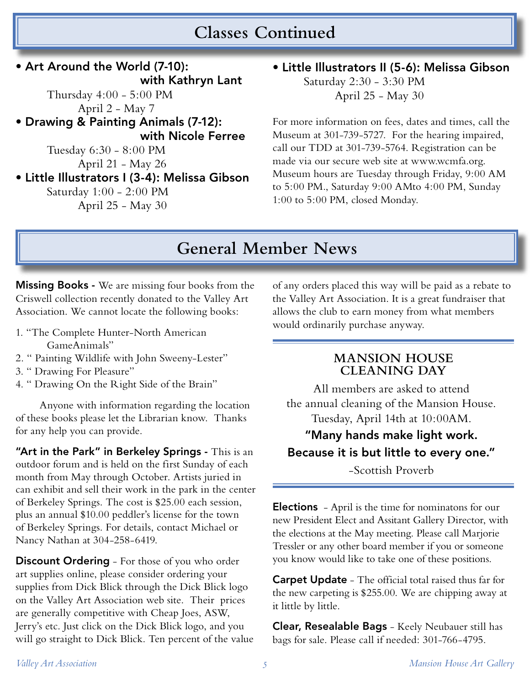## **Classes Continued**

• Art Around the World (7-10): with Kathryn Lant Thursday 4:00 - 5:00 PM April 2 - May 7 • Drawing & Painting Animals (7-12): with Nicole Ferree Tuesday 6:30 - 8:00 PM April 21 - May 26 • Little Illustrators I (3-4): Melissa Gibson Saturday 1:00 - 2:00 PM April 25 - May 30

• Little Illustrators II (5-6): Melissa Gibson Saturday 2:30 - 3:30 PM April 25 - May 30

For more information on fees, dates and times, call the Museum at 301-739-5727. For the hearing impaired, call our TDD at 301-739-5764. Registration can be made via our secure web site at www.wcmfa.org. Museum hours are Tuesday through Friday, 9:00 AM to 5:00 PM., Saturday 9:00 AMto 4:00 PM, Sunday 1:00 to 5:00 PM, closed Monday.

## **General Member News**

**Missing Books -** We are missing four books from the Criswell collection recently donated to the Valley Art Association. We cannot locate the following books:

- 1. "The Complete Hunter-North American GameAnimals"
- 2. " Painting Wildlife with John Sweeny-Lester"
- 3. " Drawing For Pleasure"
- 4. " Drawing On the Right Side of the Brain"

 Anyone with information regarding the location of these books please let the Librarian know. Thanks for any help you can provide.

"Art in the Park" in Berkeley Springs - This is an outdoor forum and is held on the first Sunday of each month from May through October. Artists juried in can exhibit and sell their work in the park in the center of Berkeley Springs. The cost is \$25.00 each session, plus an annual \$10.00 peddler's license for the town of Berkeley Springs. For details, contact Michael or Nancy Nathan at 304-258-6419.

**Discount Ordering** - For those of you who order art supplies online, please consider ordering your supplies from Dick Blick through the Dick Blick logo on the Valley Art Association web site. Their prices are generally competitive with Cheap Joes, ASW, Jerry's etc. Just click on the Dick Blick logo, and you will go straight to Dick Blick. Ten percent of the value

of any orders placed this way will be paid as a rebate to the Valley Art Association. It is a great fundraiser that allows the club to earn money from what members would ordinarily purchase anyway.

#### **MANSION HOUSE CLEANING DAY**

All members are asked to attend the annual cleaning of the Mansion House. Tuesday, April 14th at 10:00AM.

## "Many hands make light work. Because it is but little to every one."

-Scottish Proverb

Elections - April is the time for nominatons for our new President Elect and Assitant Gallery Director, with the elections at the May meeting. Please call Marjorie Tressler or any other board member if you or someone you know would like to take one of these positions.

Carpet Update - The official total raised thus far for the new carpeting is \$255.00. We are chipping away at it little by little.

Clear, Resealable Bags - Keely Neubauer still has bags for sale. Please call if needed: 301-766-4795.